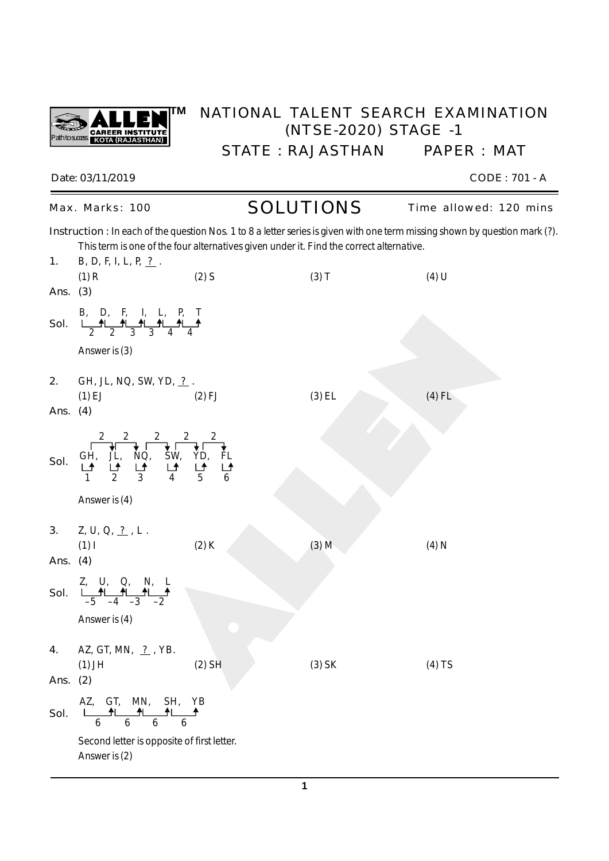

## **TM** NATIONAL TALENT SEARCH EXAMINATION (NTSE-2020) STAGE -1 STATE : RAJASTHAN PAPER : MAT

*Date: 03/11/2019 CODE : 701 - A*

Max. Marks: 100 **SOLUTIONS** Time allowed: 120 mins

*Instruction : In each of the question Nos.* 1 to 8 a letter series is given with one term missing shown by question mark (?). This term is one of the four alternatives given under it. Find the correct alternative.

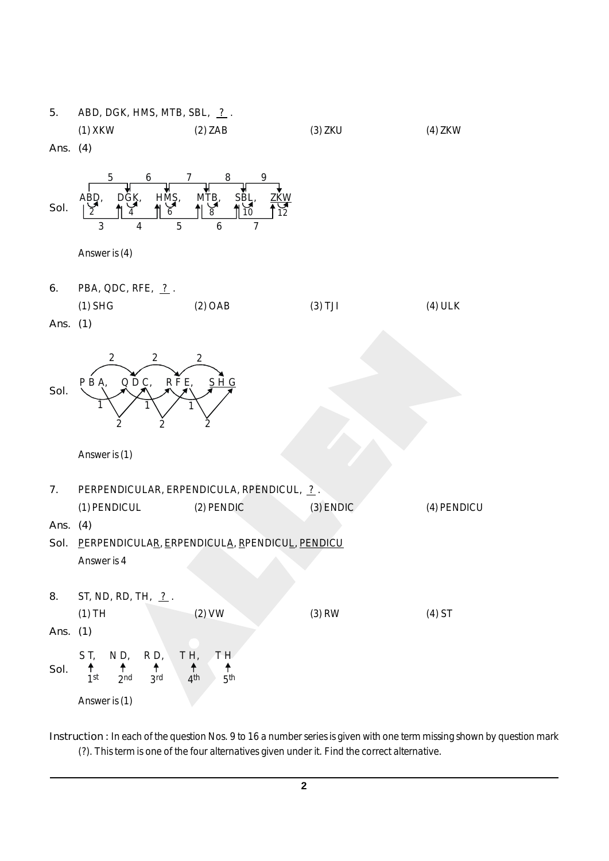

*Instruction :* In each of the question Nos. 9 to 16 a number series is given with one term missing shown by question mark (?). This term is one of the four alternatives given under it. Find the correct alternative.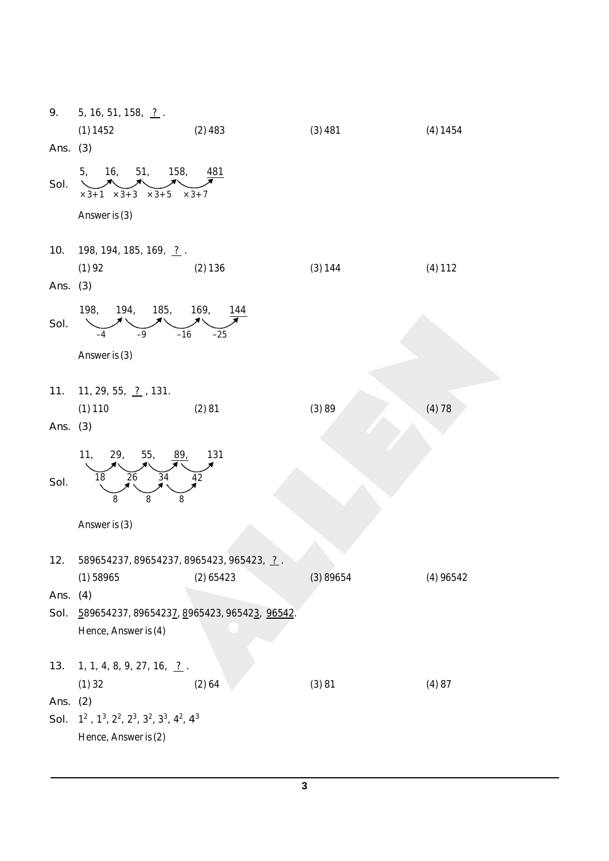| 9.         | 5, 16, 51, 158, $\frac{?}{.}$ .                                 |                            |          |             |
|------------|-----------------------------------------------------------------|----------------------------|----------|-------------|
|            | (1) 1452                                                        | $(2)$ 483                  | (3)481   | (4) 1454    |
| Ans. $(3)$ |                                                                 |                            |          |             |
| Sol.       | 16, 51, 158,<br>5,<br>$\times 3+1$ $\times 3+3$<br>$\times$ 3+5 | <u>481</u><br>$\times$ 3+7 |          |             |
|            | Answer is (3)                                                   |                            |          |             |
|            |                                                                 |                            |          |             |
| 10.        | 198, 194, 185, 169, 2.                                          |                            |          |             |
|            | (1)92                                                           | (2) 136                    | (3) 144  | $(4)$ 112   |
| Ans. (3)   |                                                                 |                            |          |             |
| Sol.       | 198,<br>194, 185, 169,<br>$-16$<br>$-9$<br>-4                   | 144<br>$-25$               |          |             |
|            | Answer is (3)                                                   |                            |          |             |
|            |                                                                 |                            |          |             |
| 11.        | 11, 29, 55, 2, 131.                                             |                            |          |             |
|            | $(1)$ 110                                                       | (2)81                      | (3)89    | (4) 78      |
| Ans. $(3)$ |                                                                 |                            |          |             |
|            |                                                                 |                            |          |             |
|            | 11, 12<br>29,<br>55,<br>89,                                     | 131                        |          |             |
|            | 26<br>34<br>18                                                  | 42                         |          |             |
| Sol.       | 8<br>8                                                          |                            |          |             |
|            | 8                                                               |                            |          |             |
|            | Answer is (3)                                                   |                            |          |             |
|            |                                                                 |                            |          |             |
| 12.        | 589654237, 89654237, 8965423, 965423, ?.                        |                            |          |             |
|            | $(1)$ 58965                                                     | $(2)$ 65423                | (3)89654 | $(4)$ 96542 |
| Ans.       | (4)                                                             |                            |          |             |
| Sol.       | 589654237, 89654237, 8965423, 965423, 96542.                    |                            |          |             |
|            | Hence, Answer is (4)                                            |                            |          |             |
|            |                                                                 |                            |          |             |
| 13.        | 1, 1, 4, 8, 9, 27, 16, $\frac{?}{.}$ .                          |                            |          |             |
|            | $(1)$ 32                                                        | (2) 64                     | (3)81    | (4)87       |
| Ans. $(2)$ |                                                                 |                            |          |             |
| Sol.       | $1^2$ , $1^3$ , $2^2$ , $2^3$ , $3^2$ , $3^3$ , $4^2$ , $4^3$   |                            |          |             |
|            | Hence, Answer is (2)                                            |                            |          |             |
|            |                                                                 |                            |          |             |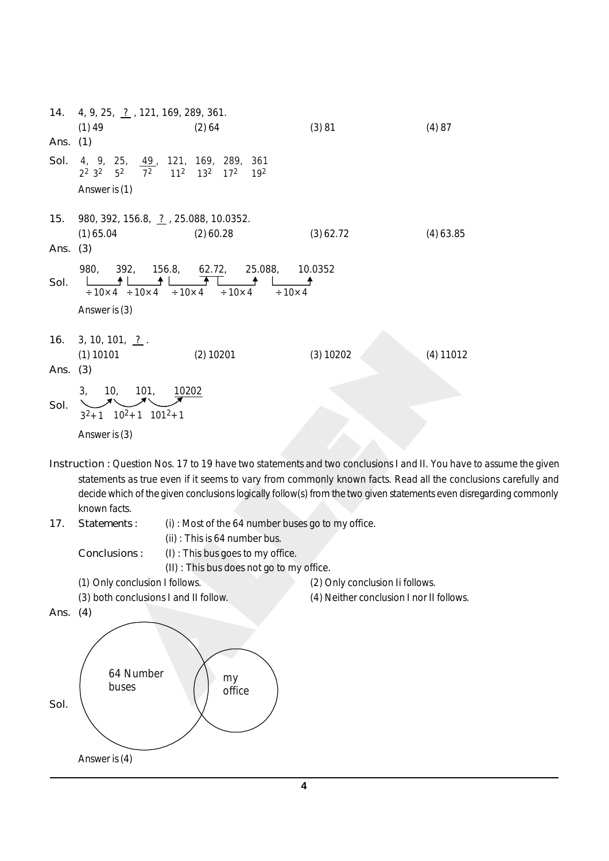*14.* 4, 9, 25, ? , 121, 169, 289, 361. (1) 49 (2) 64 (3) 81 (4) 87 *Ans. (1) Sol.* 4, 9, 25, 49, 121, 169, 289, 361  $\overline{7^2}$  $11^2$  13<sup>2</sup> 17<sup>2</sup> 19<sup>2</sup>  $2^2$   $3^2$  5 Answer is (1) *15.* 980, 392, 156.8, ? , 25.088, 10.0352. (1) 65.04 (2) 60.28 (3) 62.72 (4) 63.85 *Ans. (3)* 980, 392, 156.8, 62.72, 25.088, 10.0352<br>  $\begin{array}{|c|c|c|c|c|}\n\hline\n+10\times4 & +10\times4 & +10\times4 & +10\times4 & +10\times4 \\
\hline\n\end{array}$  $\frac{1}{10\times4}$   $\frac{1}{10\times4}$   $\frac{1}{10\times4}$   $\frac{1}{10\times4}$   $\frac{1}{10\times4}$   $\frac{1}{10\times4}$   $\frac{1}{10\times4}$ *Sol.* ᅼ Answer is (3) *16.* 3, 10, 101, <u>?</u>. (1) 10101 (2) 10201 (3) 10202 (4) 11012 *Ans. (3)* 3, 10, 101, 10202 *Sol.*  $3^{2}+1$   $10^{2}+1$   $101^{2}+1$ Answer is (3)

- *Instruction :* Question Nos. 17 to 19 have two statements and two conclusions I and II. You have to assume the given statements as true even if it seems to vary from commonly known facts. Read all the conclusions carefully and decide which of the given conclusions logically follow(s) from the two given statements even disregarding commonly known facts.
- 
- *17. Statements :* (i) : Most of the 64 number buses go to my office.

*Conclusions :* (I) : This bus goes to my office.

(ii) : This is 64 number bus.

(II) : This bus does not go to my office.

- (1) Only conclusion I follows. (2) Only conclusion Ii follows.
- (3) both conclusions I and II follow. (4) Neither conclusion I nor II follows.

*Ans. (4)*

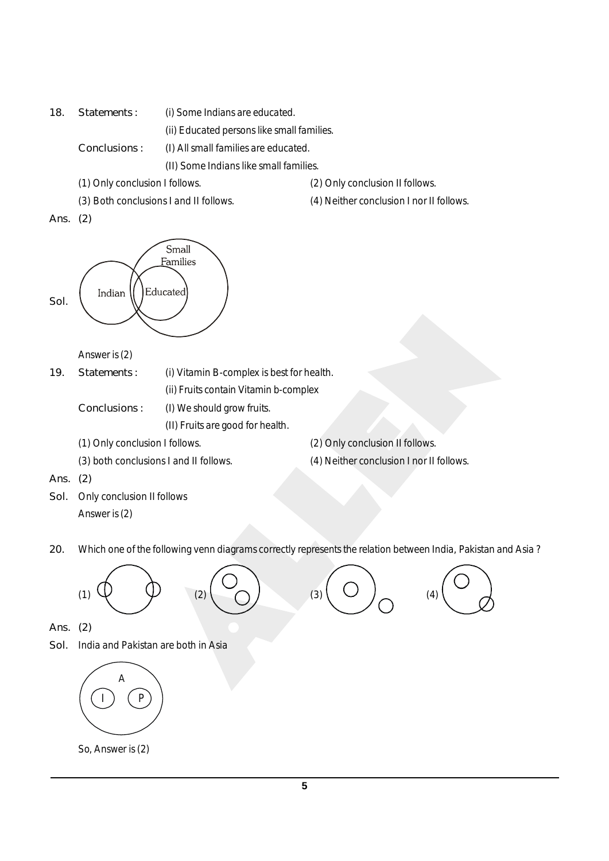*18. Statements :* (i) Some Indians are educated.

(ii) Educated persons like small families.

*Conclusions :* (I) All small families are educated.

(II) Some Indians like small families.

(1) Only conclusion I follows. (2) Only conclusion II follows.

(3) Both conclusions I and II follows. (4) Neither conclusion I nor II follows.

*Ans. (2)*



Answer is (2)

- *19. Statements :* (i) Vitamin B-complex is best for health. (ii) Fruits contain Vitamin b-complex
	- *Conclusions :* (I) We should grow fruits.
		- (II) Fruits are good for health.
	-
	-
	- (1) Only conclusion I follows. (2) Only conclusion II follows.
	- (3) both conclusions I and II follows. (4) Neither conclusion I nor II follows.

*Ans. (2)*

- *Sol.* Only conclusion II follows Answer is (2)
- *20.* Which one of the following venn diagrams correctly represents the relation between India, Pakistan and Asia ?



- *Ans. (2)*
- *Sol.* India and Pakistan are both in Asia



So, Answer is (2)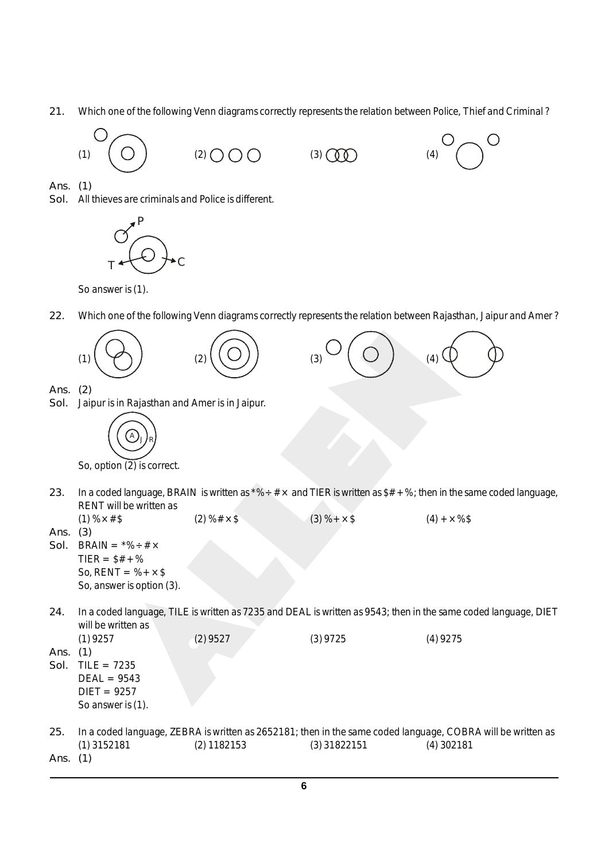*21.* Which one of the following Venn diagrams correctly represents the relation between Police, Thief and Criminal ?



*Ans. (1)*

*Sol.* All thieves are criminals and Police is different.



So answer is (1).

*22.* Which one of the following Venn diagrams correctly represents the relation between Rajasthan, Jaipur and Amer ?



So, option (2) is correct.

- 23. In a coded language, BRAIN is written as  $*% \div # \times$  and TIER is written as  $*# *$ %; then in the same coded language, RENT will be written as (1)  $\frac{9}{2} \times \frac{4}{3}$  (2)  $\frac{1}{2} \times \frac{5}{3}$  (3)  $\frac{1}{2} \times \frac{5}{3}$  (4)  $\frac{1}{2} \times \frac{2}{3}$
- *Ans. (3)*

*Sol.* BRAIN =  $*% \div # \times$  $TIER = $# + \%$ So,  $RENT = %+ \times $$ So, answer is option (3).

*24.* In a coded language, TILE is written as 7235 and DEAL is written as 9543; then in the same coded language, DIET will be written as (1) 9257 (2) 9527 (3) 9725 (4) 9275

*Ans. (1)*

- *Sol.* TILE = 7235  $DEAL = 9543$  $DIFT = 9257$ So answer is (1).
- *25.* In a coded language, ZEBRA is written as 2652181; then in the same coded language, COBRA will be written as (1) 3152181 (2) 1182153 (3) 31822151 (4) 302181
- *Ans. (1)*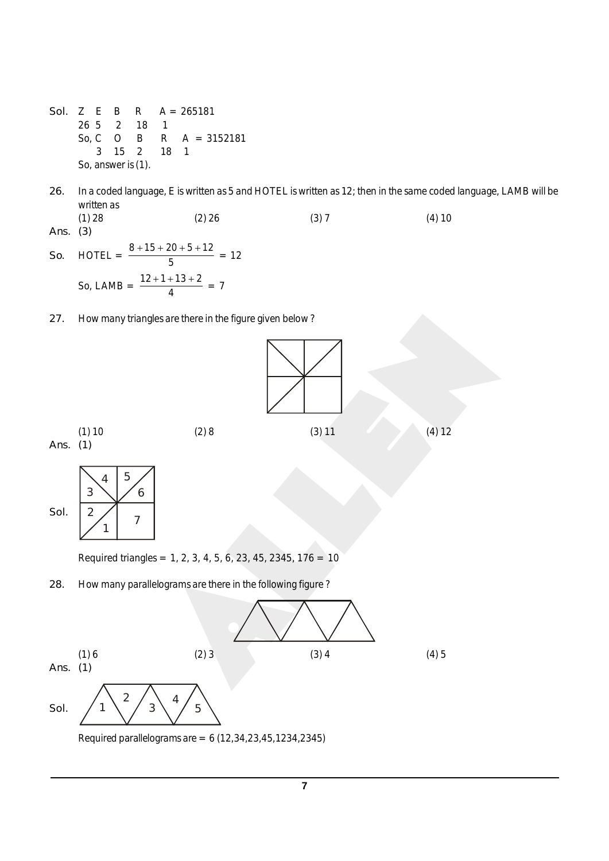- *Sol.* Z E B R A = 265181 26 5 2 18 1 So, C O B R A = 3152181 3 15 2 18 1 So, answer is (1).
- *26.* In a coded language, E is written as 5 and HOTEL is written as 12; then in the same coded language, LAMB will be written as (1) 28 (2) 26 (3) 7 (4) 10
- *Ans. (3)*
- *So.* HOTEL =  $\frac{8+15+20+5+12}{5}$ 5  $\frac{+15+20+5+12}{5} = 12$ So, LAMB =  $\frac{12+1+13+2}{4}$ 4  $\frac{+1+13+2}{4} = 7$
- *27.* How many triangles are there in the figure given below ?

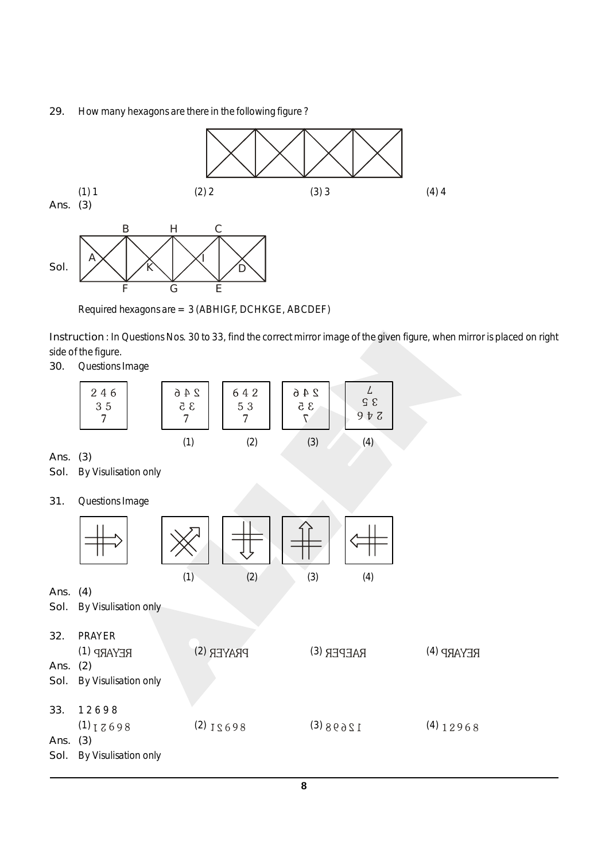## *29.* How many hexagons are there in the following figure ?



Required hexagons are = 3 (ABHIGF, DCHKGE, ABCDEF)

*Instruction* : In Questions Nos. 30 to 33, find the correct mirror image of the given figure, when mirror is placed on right side of the figure.

*30.* Questions Image

|                     | 246<br>35<br>7                                             | $2\,4\,6$<br>$3\,5$<br>$\overline{7}$ | 642<br>53<br>$\overline{7}$ | $2\,4\,6$<br>35<br>$7\,$ | L<br>$\mathfrak{S}$ $\mathfrak{S}$<br>$9$ $\bar{v}$ $\bar{c}$ |             |  |
|---------------------|------------------------------------------------------------|---------------------------------------|-----------------------------|--------------------------|---------------------------------------------------------------|-------------|--|
| Ans.<br>Sol.        | (3)<br>By Visulisation only                                | (1)                                   | (2)                         | (3)                      | (4)                                                           |             |  |
| 31.                 | Questions Image                                            |                                       |                             |                          |                                                               |             |  |
|                     |                                                            | (1)                                   | (2)                         | (3)                      | (4)                                                           |             |  |
| Ans.<br>Sol.        | (4)<br>By Visulisation only                                |                                       |                             |                          |                                                               |             |  |
| 32.<br>Ans.<br>Sol. | <b>PRAYER</b><br>REYARP (1)<br>(2)<br>By Visulisation only |                                       | PRAYER (S)                  |                          | RAEPER (E)                                                    | REYARP (4)  |  |
| 33.<br>Ans.<br>Sol. | 12698<br>$(1)$ $I$ $Z$ 698<br>(3)<br>By Visulisation only  |                                       | $(2)$ J $\leq 698$          | 12698(                   |                                                               | $(4)$ 12968 |  |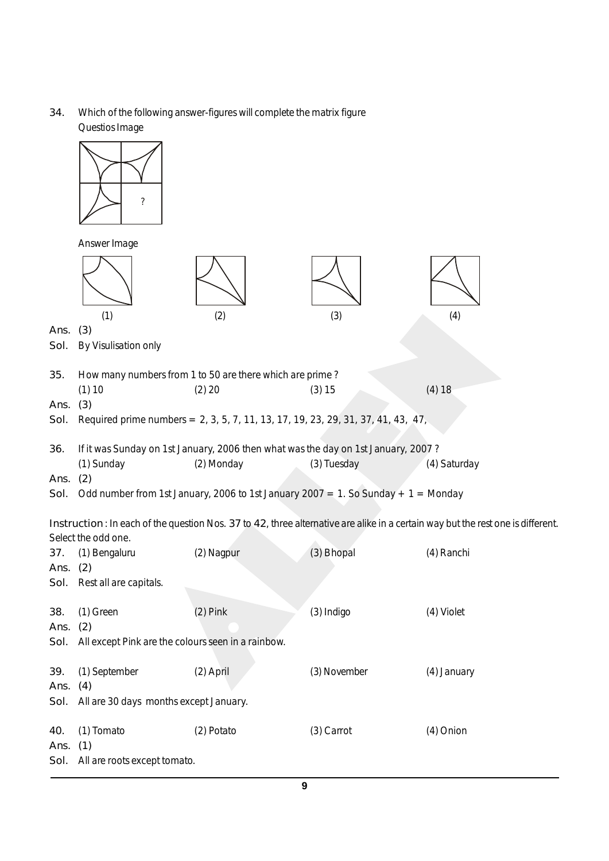*34.* Which of the following answer-figures will complete the matrix figure Questios Image

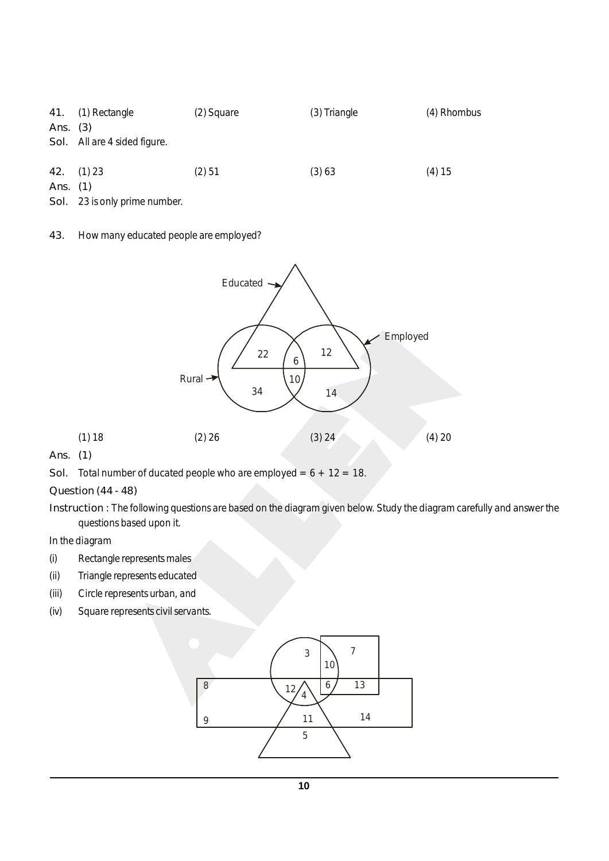|            | 41. (1) Rectangle            | (2) Square | (3) Triangle | (4) Rhombus |
|------------|------------------------------|------------|--------------|-------------|
| Ans. $(3)$ |                              |            |              |             |
|            | Sol. All are 4 sided figure. |            |              |             |
|            |                              |            |              |             |
|            | $42.$ (1) 23                 | (2) 51     | (3) 63       | (4) 15      |
| Ans. (1)   |                              |            |              |             |

*Sol.* 23 is only prime number.

*43.* How many educated people are employed?



*Ans. (1)*

*Sol.* Total number of ducated people who are employed =  $6 + 12 = 18$ .

*Question (44 - 48)*

*Instruction :* The following questions are based on the diagram given below. Study the diagram carefully and answer the questions based upon it.

In the diagram

- (i) Rectangle represents males
- (ii) Triangle represents educated
- (iii) Circle represents urban, and
- (iv) Square represents civil servants.

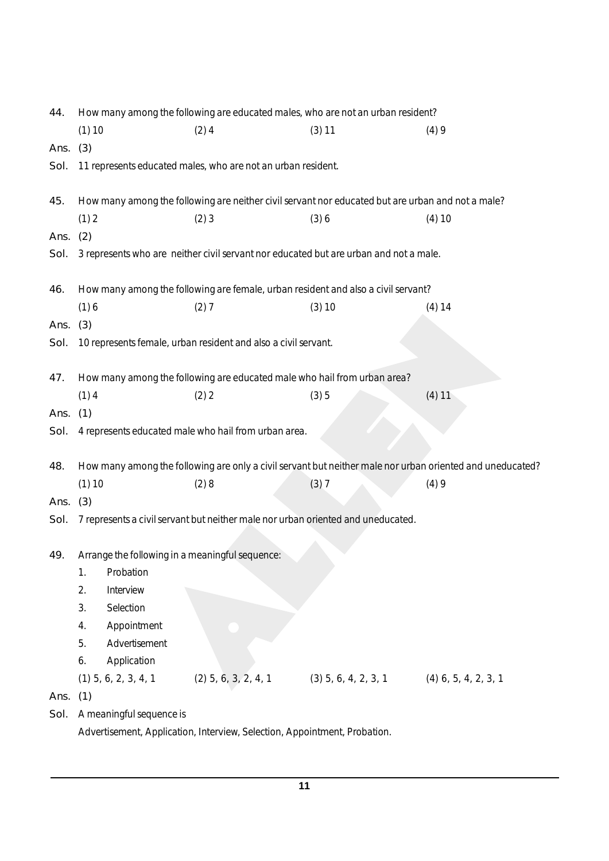| 44.  |          |                          | How many among the following are educated males, who are not an urban resident?                   |                        |                                                                                                           |
|------|----------|--------------------------|---------------------------------------------------------------------------------------------------|------------------------|-----------------------------------------------------------------------------------------------------------|
|      | (1) 10   |                          | (2)4                                                                                              | (3) 11                 | (4)9                                                                                                      |
| Ans. | (3)      |                          |                                                                                                   |                        |                                                                                                           |
| Sol. |          |                          | 11 represents educated males, who are not an urban resident.                                      |                        |                                                                                                           |
| 45.  |          |                          | How many among the following are neither civil servant nor educated but are urban and not a male? |                        |                                                                                                           |
|      | (1) 2    |                          | (2)3                                                                                              | (3)6                   | $(4)$ 10                                                                                                  |
| Ans. | (2)      |                          |                                                                                                   |                        |                                                                                                           |
| Sol. |          |                          | 3 represents who are neither civil servant nor educated but are urban and not a male.             |                        |                                                                                                           |
| 46.  |          |                          | How many among the following are female, urban resident and also a civil servant?                 |                        |                                                                                                           |
|      | (1)6     |                          | (2)7                                                                                              | (3) 10                 | (4) 14                                                                                                    |
| Ans. | (3)      |                          |                                                                                                   |                        |                                                                                                           |
| Sol. |          |                          | 10 represents female, urban resident and also a civil servant.                                    |                        |                                                                                                           |
| 47.  |          |                          | How many among the following are educated male who hail from urban area?                          |                        |                                                                                                           |
|      | $(1)$ 4  |                          | (2) 2                                                                                             | (3)5                   | (4) 11                                                                                                    |
| Ans. | (1)      |                          |                                                                                                   |                        |                                                                                                           |
| Sol. |          |                          | 4 represents educated male who hail from urban area.                                              |                        |                                                                                                           |
| 48.  |          |                          |                                                                                                   |                        | How many among the following are only a civil servant but neither male nor urban oriented and uneducated? |
|      | $(1)$ 10 |                          | (2)8                                                                                              | (3)7                   | (4)9                                                                                                      |
| Ans. | (3)      |                          |                                                                                                   |                        |                                                                                                           |
| Sol. |          |                          | 7 represents a civil servant but neither male nor urban oriented and uneducated.                  |                        |                                                                                                           |
| 49.  |          |                          | Arrange the following in a meaningful sequence:                                                   |                        |                                                                                                           |
|      | 1.       | Probation                |                                                                                                   |                        |                                                                                                           |
|      | 2.       | Interview                |                                                                                                   |                        |                                                                                                           |
|      | 3.       | Selection                |                                                                                                   |                        |                                                                                                           |
|      | 4.       | Appointment              |                                                                                                   |                        |                                                                                                           |
|      | 5.       | Advertisement            |                                                                                                   |                        |                                                                                                           |
|      | 6.       | Application              |                                                                                                   |                        |                                                                                                           |
|      |          | $(1)$ 5, 6, 2, 3, 4, 1   | $(2)$ 5, 6, 3, 2, 4, 1                                                                            | $(3)$ 5, 6, 4, 2, 3, 1 | $(4)$ 6, 5, 4, 2, 3, 1                                                                                    |
| Ans. | (1)      |                          |                                                                                                   |                        |                                                                                                           |
| Sol. |          | A meaningful sequence is |                                                                                                   |                        |                                                                                                           |
|      |          |                          | Advertisement, Application, Interview, Selection, Appointment, Probation.                         |                        |                                                                                                           |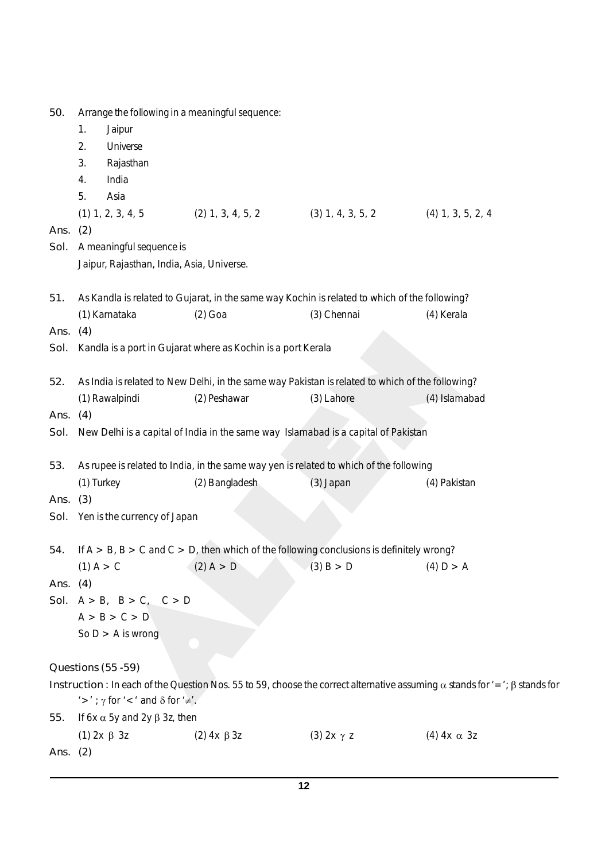| 50.        | Arrange the following in a meaningful sequence:    |                                                                                                  |                     |                                                                                                                                         |
|------------|----------------------------------------------------|--------------------------------------------------------------------------------------------------|---------------------|-----------------------------------------------------------------------------------------------------------------------------------------|
|            | 1.<br>Jaipur                                       |                                                                                                  |                     |                                                                                                                                         |
|            | Universe<br>2.                                     |                                                                                                  |                     |                                                                                                                                         |
|            | 3.<br>Rajasthan                                    |                                                                                                  |                     |                                                                                                                                         |
|            | India<br>4.                                        |                                                                                                  |                     |                                                                                                                                         |
|            | 5.<br>Asia                                         |                                                                                                  |                     |                                                                                                                                         |
|            | $(1)$ 1, 2, 3, 4, 5                                | $(2)$ 1, 3, 4, 5, 2                                                                              | $(3)$ 1, 4, 3, 5, 2 | $(4)$ 1, 3, 5, 2, 4                                                                                                                     |
| Ans.       | (2)                                                |                                                                                                  |                     |                                                                                                                                         |
| Sol.       | A meaningful sequence is                           |                                                                                                  |                     |                                                                                                                                         |
|            | Jaipur, Rajasthan, India, Asia, Universe.          |                                                                                                  |                     |                                                                                                                                         |
|            |                                                    |                                                                                                  |                     |                                                                                                                                         |
| 51.        |                                                    | As Kandla is related to Gujarat, in the same way Kochin is related to which of the following?    |                     |                                                                                                                                         |
|            | (1) Karnataka                                      | $(2)$ Goa                                                                                        | (3) Chennai         | (4) Kerala                                                                                                                              |
| Ans. (4)   |                                                    |                                                                                                  |                     |                                                                                                                                         |
| Sol.       |                                                    | Kandla is a port in Gujarat where as Kochin is a port Kerala                                     |                     |                                                                                                                                         |
|            |                                                    |                                                                                                  |                     |                                                                                                                                         |
| 52.        |                                                    | As India is related to New Delhi, in the same way Pakistan is related to which of the following? |                     |                                                                                                                                         |
|            | (1) Rawalpindi                                     | (2) Peshawar                                                                                     | (3) Lahore          | (4) Islamabad                                                                                                                           |
| Ans.       | (4)                                                |                                                                                                  |                     |                                                                                                                                         |
| Sol.       |                                                    | New Delhi is a capital of India in the same way Islamabad is a capital of Pakistan               |                     |                                                                                                                                         |
|            |                                                    |                                                                                                  |                     |                                                                                                                                         |
| 53.        |                                                    | As rupee is related to India, in the same way yen is related to which of the following           |                     |                                                                                                                                         |
|            | (1) Turkey                                         | (2) Bangladesh                                                                                   | (3) Japan           | (4) Pakistan                                                                                                                            |
| Ans. $(3)$ |                                                    |                                                                                                  |                     |                                                                                                                                         |
| Sol.       | Yen is the currency of Japan                       |                                                                                                  |                     |                                                                                                                                         |
|            |                                                    |                                                                                                  |                     |                                                                                                                                         |
| 54.        |                                                    | If $A > B$ , $B > C$ and $C > D$ , then which of the following conclusions is definitely wrong?  |                     |                                                                                                                                         |
|            | $(1)$ A > C                                        | (2) A > D                                                                                        | (3) B > D           | (4) D > A                                                                                                                               |
| Ans. $(4)$ |                                                    |                                                                                                  |                     |                                                                                                                                         |
|            | Sol. $A > B$ , $B > C$ , $C > D$                   |                                                                                                  |                     |                                                                                                                                         |
|            | A > B > C > D                                      |                                                                                                  |                     |                                                                                                                                         |
|            | So $D > A$ is wrong                                |                                                                                                  |                     |                                                                                                                                         |
|            |                                                    |                                                                                                  |                     |                                                                                                                                         |
|            | Questions (55 - 59)                                |                                                                                                  |                     |                                                                                                                                         |
|            | '>'; $\gamma$ for '<' and $\delta$ for ' $\neq'$ . |                                                                                                  |                     | Instruction: In each of the Question Nos. 55 to 59, choose the correct alternative assuming $\alpha$ stands for '='; $\beta$ stands for |
| 55.        | If 6x $\alpha$ 5y and 2y $\beta$ 3z, then          |                                                                                                  |                     |                                                                                                                                         |
|            | $(1)$ 2x β 3z                                      | $(2)$ 4x $\beta$ 3z                                                                              | $(3)$ 2x $\gamma$ z | (4) $4x \alpha$ 3z                                                                                                                      |
| Ans. $(2)$ |                                                    |                                                                                                  |                     |                                                                                                                                         |
|            |                                                    |                                                                                                  |                     |                                                                                                                                         |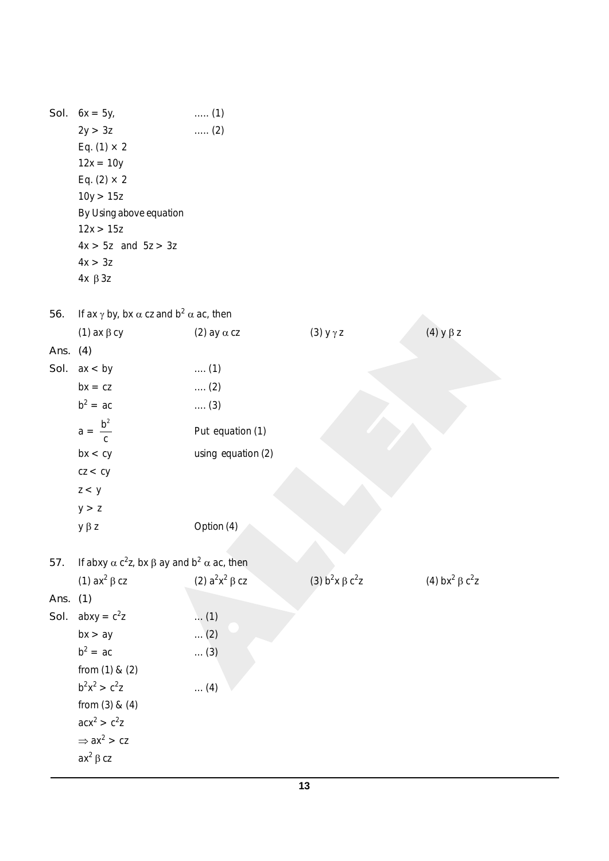*Sol.*  $6x = 5y$ , ..... (1)  $2y > 3z$  ...... (2) Eq. (1)  $\times$  2  $12x = 10y$ Eq. (2)  $\times$  2  $10y > 15z$ By Using above equation  $12x > 15z$  $4x > 5z$  and  $5z > 3z$  $4x > 3z$  $4x \beta 3z$ *56.* If ax  $\gamma$  by, bx  $\alpha$  cz and b<sup>2</sup>  $\alpha$  ac, then (1) ax  $\beta$  cy (2) ay  $\alpha$  cz (3) y  $\gamma$  z (4) y  $\beta$  z *Ans. (4) Sol.* ax < by .... (1)  $bx = cz$  .... (2)  $b^2$  $\ldots$  (3)  $a =$  $b^2$ c Put equation (1)  $bx < cy$  using equation (2)  $cz < cy$  $z < y$  $y > z$  $y \beta z$  Option (4) 57. If abxy  $\alpha$  c<sup>2</sup>z, bx  $\beta$  ay and b<sup>2</sup>  $\alpha$  ac, then (1) ax<sup>2</sup>  $\beta$  cz (2)  $a^2x^2 \beta cz$  $^{2}$   $\beta$  cz (3) b<sup>2</sup>x  $\beta$  c<sup>2</sup> z (4) bx<sup>2</sup>  $\beta$  c<sup>2</sup>z *Ans. (1) Sol.*  $abxy = c^2z$  $\ldots$  (1)  $bx > ay$  ... (2)  $b^2$  $\ldots$  (3) from (1) & (2)  $b^2x^2 > c^2$  $\ldots$  (4) from (3) & (4)  $acx^2 > c^2z$  $\Rightarrow$  ax<sup>2</sup> > cz ax $^2$   $\beta$  cz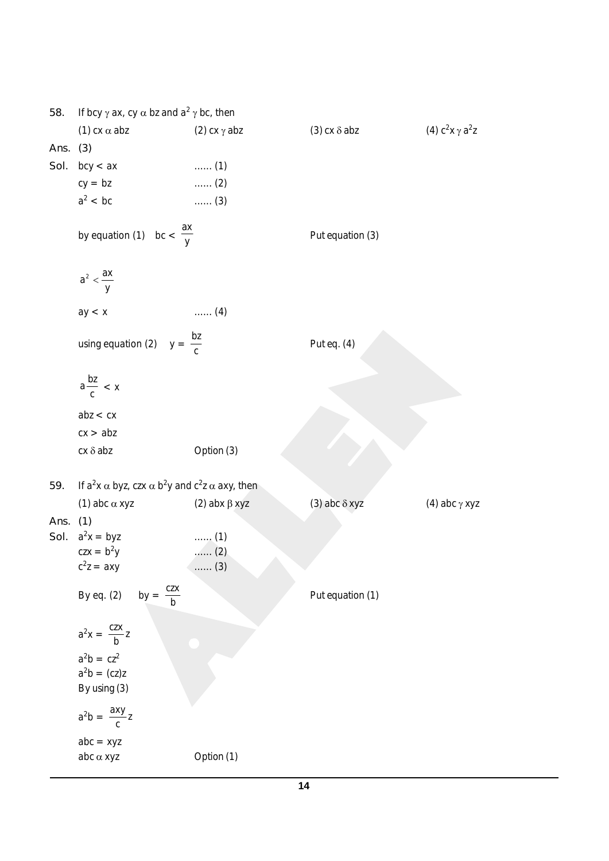| 58.  | If bcy $\gamma$ ax, cy $\alpha$ bz and $a^2 \gamma$ bc, then                                |                              |                        |                              |
|------|---------------------------------------------------------------------------------------------|------------------------------|------------------------|------------------------------|
| Ans. | (1) $cx \alpha$ abz<br>(3)                                                                  | (2) $cx \gamma abz$          | $(3)$ cx $\delta$ abz  | (4) $c^2$ x $\gamma$ $a^2$ z |
| Sol. | bcy < ax                                                                                    | $\ldots$ (1)                 |                        |                              |
|      | $cy = bz$                                                                                   | $\ldots$ (2)                 |                        |                              |
|      | $a^2$ < bc                                                                                  | $\ldots$ (3)                 |                        |                              |
|      | by equation (1) $bc < \frac{ax}{y}$                                                         |                              | Put equation (3)       |                              |
|      | $a^2 < \frac{ax}{y}$                                                                        |                              |                        |                              |
|      | ay < x                                                                                      | $\ldots$ (4)                 |                        |                              |
|      | using equation (2) $y = \frac{bz}{c}$                                                       |                              | Put eq. (4)            |                              |
|      | $a \frac{bz}{c}$ < x                                                                        |                              |                        |                              |
|      | abz < cx                                                                                    |                              |                        |                              |
|      | cx > abz                                                                                    |                              |                        |                              |
|      | $cx \delta abz$                                                                             | Option (3)                   |                        |                              |
| 59.  | If $a^2x \alpha$ byz, czx $\alpha$ b <sup>2</sup> y and c <sup>2</sup> z $\alpha$ axy, then |                              |                        |                              |
|      | (1) abc $\alpha$ xyz                                                                        | (2) abx $\beta$ xyz          | $(3)$ abc $\delta$ xyz | (4) abc $\gamma$ xyz         |
| Ans. | (1)                                                                                         |                              |                        |                              |
| Sol. | $a^2x = byz$                                                                                | $\ldots$ (1)                 |                        |                              |
|      | $czx = b2y$<br>$c^2z = axy$                                                                 | $\ldots$ (2)<br>$\ldots$ (3) |                        |                              |
|      |                                                                                             |                              |                        |                              |
|      | by = $\frac{czx}{b}$<br>By eq. (2)                                                          |                              | Put equation (1)       |                              |
|      | $a^2x = \frac{czx}{b}z$                                                                     |                              |                        |                              |
|      | $a^2b = cz^2$                                                                               |                              |                        |                              |
|      | $a^2b = (cz)z$                                                                              |                              |                        |                              |
|      | By using (3)                                                                                |                              |                        |                              |
|      | $a^2b = \frac{axy}{c}z$                                                                     |                              |                        |                              |
|      | $abc = xyz$                                                                                 |                              |                        |                              |
|      | $abc \alpha xyz$                                                                            | Option (1)                   |                        |                              |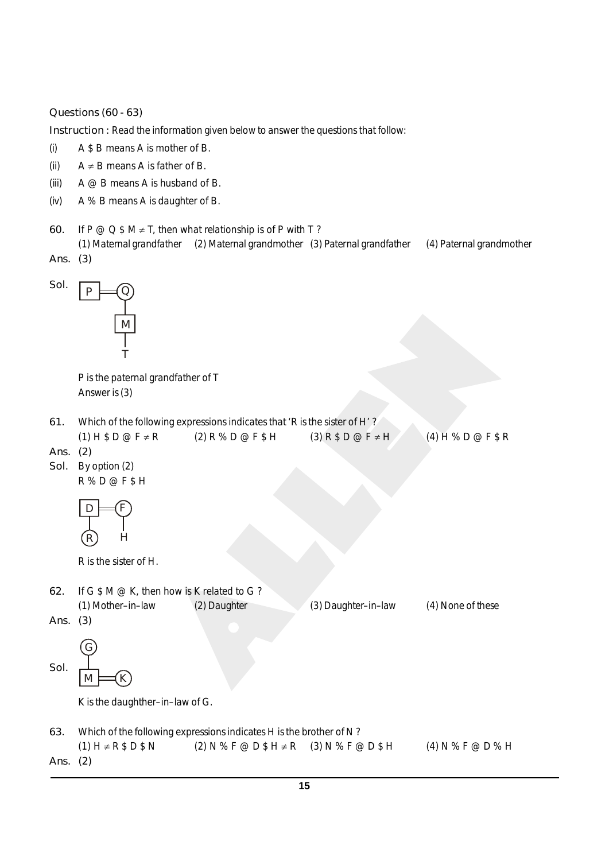*Questions (60 - 63)*

*Instruction : Read the information given below to answer the questions that follow:* 

- (i) A \$ B means A is mother of B.
- (ii)  $A \neq B$  means A is father of B.
- (iii)  $A \oslash B$  means A is husband of B.
- (iv) A % B means A is daughter of B.
- 60. If  $P @ Q $ M \neq T$ , then what relationship is of P with T? (1) Maternal grandfather (2) Maternal grandmother (3) Paternal grandfather (4) Paternal grandmother
- *Ans. (3)*



P is the paternal grandfather of T Answer is (3)

*61.* Which of the following expressions indicates that 'R is the sister of H' ?

|          | $(1)$ H \$ D @ F $\neq$ R | $(2)$ R % D @ F \$ H | $(3)$ R \$ D @ F $\neq$ H | $(4)$ H % D @ F \$ R |
|----------|---------------------------|----------------------|---------------------------|----------------------|
| Ans. (2) |                           |                      |                           |                      |
|          | Sol. By option (2)        |                      |                           |                      |
|          | $R\%D@F$H$                |                      |                           |                      |
|          | R                         |                      |                           |                      |

R is the sister of H.

- *62.* If G \$ M @ K, then how is K related to G ? (1) Mother–in–law (2) Daughter (3) Daughter–in–law (4) None of these *Ans. (3)*
- G
- *Sol.*  $M$

K is the daughther–in–law of G.

*63.* Which of the following expressions indicates H is the brother of N ?  $(1)$  H  $\neq$  R  $$$  D  $$$  N  $\leq$   $(2)$  N  $\%$  F  $@$  D  $$$  H  $\neq$  R  $(3)$  N  $\%$  F  $@$  D  $$$  H  $(4)$  N  $\%$  F  $@$  D  $\%$  H

*Ans. (2)*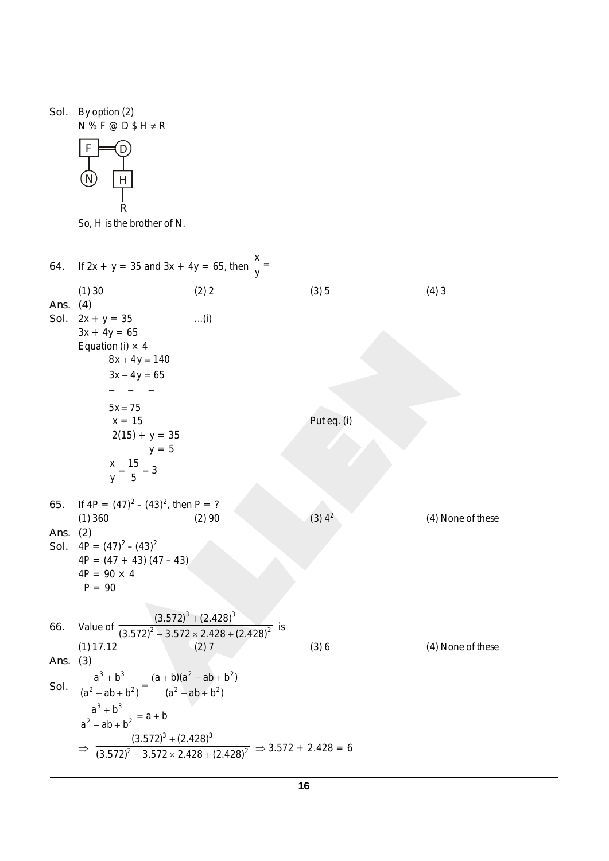*Sol.* By option (2) N % F @ D \$ H ≠ R



So, H is the brother of N.

| 64.              | If 2x + y = 35 and 3x + 4y = 65, then $\frac{4}{y}$ =                                   |                                                                                                                      |                      |                   |
|------------------|-----------------------------------------------------------------------------------------|----------------------------------------------------------------------------------------------------------------------|----------------------|-------------------|
|                  | (1)30                                                                                   | (2) 2                                                                                                                | (3)5                 | (4)3              |
| Ans. (4)<br>Sol. | $2x + y = 35$                                                                           | $\dots(i)$                                                                                                           |                      |                   |
|                  | $3x + 4y = 65$                                                                          |                                                                                                                      |                      |                   |
|                  | Equation (i) $\times$ 4                                                                 |                                                                                                                      |                      |                   |
|                  | $8x + 4y = 140$                                                                         |                                                                                                                      |                      |                   |
|                  | $3x + 4y = 65$                                                                          |                                                                                                                      |                      |                   |
|                  |                                                                                         |                                                                                                                      |                      |                   |
|                  | $5x = 75$<br>$x = 15$                                                                   |                                                                                                                      | Put eq. (i)          |                   |
|                  | $2(15) + y = 35$                                                                        |                                                                                                                      |                      |                   |
|                  | $y = 5$                                                                                 |                                                                                                                      |                      |                   |
|                  | $\frac{x}{y} = \frac{15}{5} = 3$                                                        |                                                                                                                      |                      |                   |
|                  |                                                                                         |                                                                                                                      |                      |                   |
| 65.              | If $4P = (47)^2 - (43)^2$ , then P = ?                                                  |                                                                                                                      |                      |                   |
|                  | (1)360                                                                                  | (2)90                                                                                                                | $(3)$ 4 <sup>2</sup> | (4) None of these |
| Ans. $(2)$       |                                                                                         |                                                                                                                      |                      |                   |
|                  | Sol. $4P = (47)^2 - (43)^2$<br>$4P = (47 + 43) (47 - 43)$                               |                                                                                                                      |                      |                   |
|                  | $4P = 90 \times 4$                                                                      |                                                                                                                      |                      |                   |
|                  | $P = 90$                                                                                |                                                                                                                      |                      |                   |
|                  |                                                                                         |                                                                                                                      |                      |                   |
| 66.              | Value of $\frac{(3.572)^3 + (2.428)^3}{(3.572)^2 - 3.572 \times 2.428 + (2.428)^2}$ is  |                                                                                                                      |                      |                   |
|                  | $(1)$ 17.12                                                                             | (2)7                                                                                                                 | (3)6                 | (4) None of these |
| Ans.             | (3)                                                                                     |                                                                                                                      |                      |                   |
|                  | $\frac{a^3 + b^3}{(a^2 - ab + b^2)} = \frac{(a + b)(a^2 - ab + b^2)}{(a^2 - ab + b^2)}$ |                                                                                                                      |                      |                   |
| Sol.             |                                                                                         |                                                                                                                      |                      |                   |
|                  | $rac{a^3 + b^3}{a^2 - ab + b^2} = a + b$                                                |                                                                                                                      |                      |                   |
|                  |                                                                                         |                                                                                                                      |                      |                   |
|                  |                                                                                         | $\Rightarrow \frac{(3.572)^3 + (2.428)^3}{(3.572)^2 - 3.572 \times 2.428 + (2.428)^2} \Rightarrow 3.572 + 2.428 = 6$ |                      |                   |
|                  |                                                                                         |                                                                                                                      |                      |                   |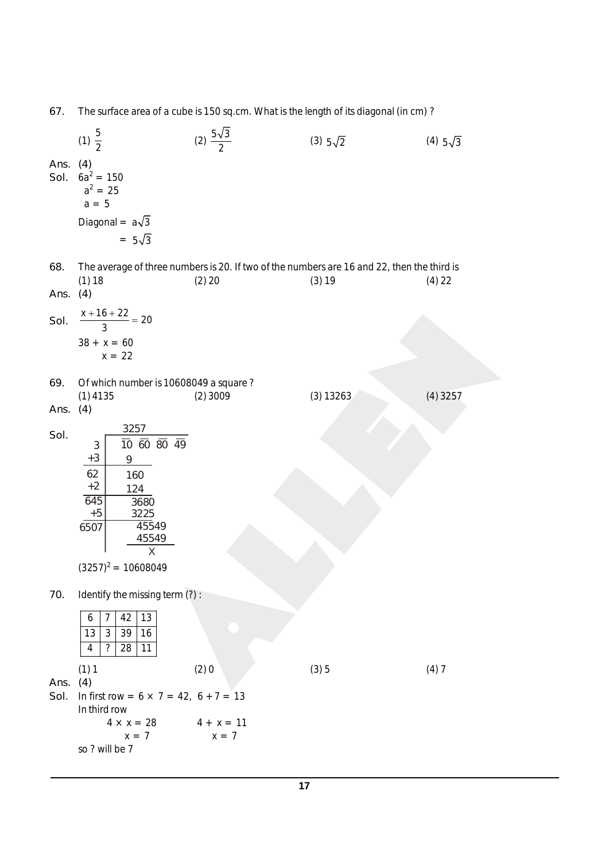*67.* The surface area of a cube is 150 sq.cm. What is the length of its diagonal (in cm) ?

 $(1) \frac{5}{2}$  $(2) \frac{5\sqrt{3}}{2}$ (3)  $5\sqrt{2}$  (4)  $5\sqrt{3}$ *Ans. (4) Sol.*  $6a^2 = 150$  $a^2 = 25$  $a = 5$ Diagonal =  $a\sqrt{3}$  $= 5\sqrt{3}$ *68.* The average of three numbers is 20. If two of the numbers are 16 and 22, then the third is (1) 18 (2) 20 (3) 19 (4) 22 *Ans. (4) Sol.*  $\frac{x+16+22}{3} = 20$  $\frac{+16+22}{2}$  =  $38 + x = 60$  $x = 22$ *69.* Of which number is 10608049 a square ? (1) 4135 (2) 3009 (3) 13263 (4) 3257 *Ans. (4) Sol.*  $\frac{3257}{2}$  $\frac{1}{10}$   $\frac{1}{60}$   $\frac{1}{80}$   $\frac{1}{49}$ 9 160 124 3680 3225 45549 45549 X 3 +3 62 +2 645 +5 6507  $(3257)^2 = 10608049$ *70.* Identify the missing term (?) :  $6 \mid 7 \mid 42 \mid 13$ 13 3 39 16 4 ? 28 11  $(1) 1$   $(2) 0$   $(3) 5$   $(4) 7$ *Ans. (4) Sol.* In first row =  $6 \times 7 = 42$ ,  $6 + 7 = 13$ In third row  $4 \times x = 28$   $4 + x = 11$  $x = 7$   $x = 7$ so ? will be 7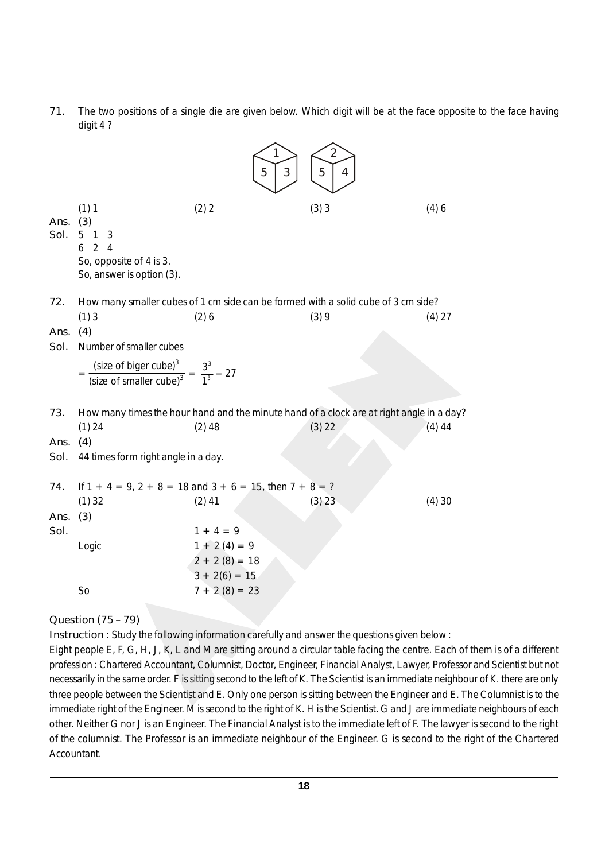*71.* The two positions of a single die are given below. Which digit will be at the face opposite to the face having digit 4 ?

|                     |                                                                                                                                      | 5<br>3                                                                                       | 2<br>5<br>4                                                                                        |          |
|---------------------|--------------------------------------------------------------------------------------------------------------------------------------|----------------------------------------------------------------------------------------------|----------------------------------------------------------------------------------------------------|----------|
| Ans.<br>Sol.        | (1) 1<br>(3)<br>5 <sub>1</sub><br>3<br>$\overline{2}$<br>6<br>$\overline{4}$<br>So, opposite of 4 is 3.<br>So, answer is option (3). | (2) 2                                                                                        | (3)3                                                                                               | (4)6     |
| 72.<br>Ans. $(4)$   | (1)3                                                                                                                                 | (2)6                                                                                         | How many smaller cubes of 1 cm side can be formed with a solid cube of 3 cm side?<br>(3)9          | $(4)$ 27 |
| Sol.                | Number of smaller cubes<br>$=\frac{\text{(size of bigger cube)}^3}{\text{(size of smaller cube)}^3} = \frac{3^3}{1^3} = 27$          |                                                                                              |                                                                                                    |          |
| 73.<br>Ans.<br>Sol. | (1) 24<br>(4)<br>44 times form right angle in a day.                                                                                 | $(2)$ 48                                                                                     | How many times the hour hand and the minute hand of a clock are at right angle in a day?<br>(3) 22 | $(4)$ 44 |
| 74.<br>Ans.<br>Sol. | $(1)$ 32<br>(3)                                                                                                                      | If $1 + 4 = 9$ , $2 + 8 = 18$ and $3 + 6 = 15$ , then $7 + 8 = ?$<br>$(2)$ 41<br>$1 + 4 = 9$ | (3) 23                                                                                             | (4)30    |
|                     | Logic<br>S <sub>o</sub>                                                                                                              | $1 + 2(4) = 9$<br>$2 + 2(8) = 18$<br>$3 + 2(6) = 15$<br>$7 + 2(8) = 23$                      |                                                                                                    |          |
|                     |                                                                                                                                      |                                                                                              |                                                                                                    |          |

*Question (75 – 79)*

*Instruction :* Study the following information carefully and answer the questions given below :

Eight people E, F, G, H, J, K, L and M are sitting around a circular table facing the centre. Each of them is of a different profession : Chartered Accountant, Columnist, Doctor, Engineer, Financial Analyst, Lawyer, Professor and Scientist but not necessarily in the same order. F is sitting second to the left of K. The Scientist is an immediate neighbour of K. there are only three people between the Scientist and E. Only one person is sitting between the Engineer and E. The Columnist is to the immediate right of the Engineer. M is second to the right of K. H is the Scientist. G and J are immediate neighbours of each other. Neither G nor J is an Engineer. The Financial Analyst is to the immediate left of F. The lawyer is second to the right of the columnist. The Professor is an immediate neighbour of the Engineer. G is second to the right of the Chartered Accountant.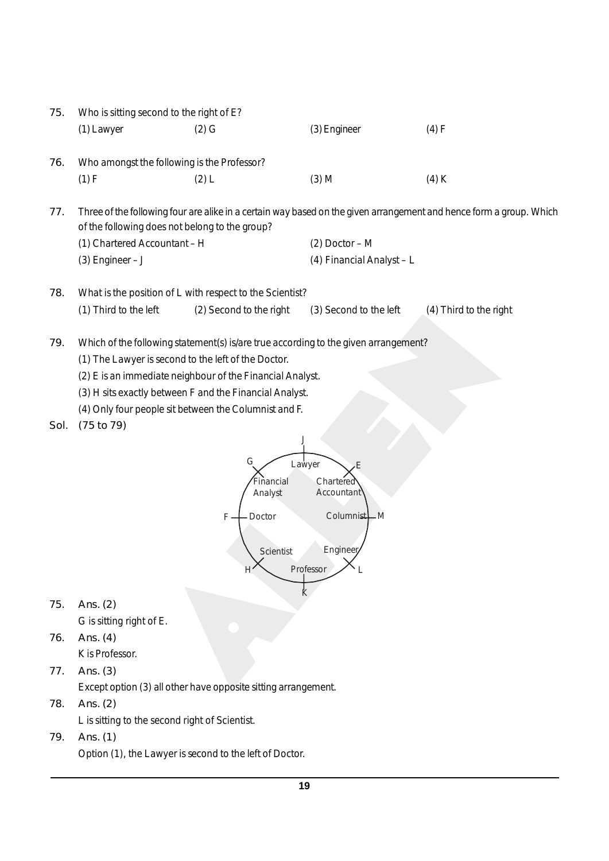| 75.  | Who is sitting second to the right of E?                                                                                                                                                                                                                           |                                                                |                                                                                    |                                                                                                                     |  |
|------|--------------------------------------------------------------------------------------------------------------------------------------------------------------------------------------------------------------------------------------------------------------------|----------------------------------------------------------------|------------------------------------------------------------------------------------|---------------------------------------------------------------------------------------------------------------------|--|
|      | (1) Lawyer                                                                                                                                                                                                                                                         | $(2)$ G                                                        | (3) Engineer                                                                       | (4) F                                                                                                               |  |
| 76.  | Who amongst the following is the Professor?                                                                                                                                                                                                                        |                                                                |                                                                                    |                                                                                                                     |  |
|      | (1) F                                                                                                                                                                                                                                                              | (2) L                                                          | $(3)$ M                                                                            | $(4)$ K                                                                                                             |  |
| 77.  | of the following does not belong to the group?                                                                                                                                                                                                                     |                                                                |                                                                                    | Three of the following four are alike in a certain way based on the given arrangement and hence form a group. Which |  |
|      | (1) Chartered Accountant - H                                                                                                                                                                                                                                       |                                                                | $(2)$ Doctor - M                                                                   |                                                                                                                     |  |
|      | $(3)$ Engineer - J                                                                                                                                                                                                                                                 |                                                                | (4) Financial Analyst - L                                                          |                                                                                                                     |  |
| 78.  |                                                                                                                                                                                                                                                                    | What is the position of L with respect to the Scientist?       |                                                                                    |                                                                                                                     |  |
|      | (1) Third to the left                                                                                                                                                                                                                                              | (2) Second to the right                                        | (3) Second to the left                                                             | (4) Third to the right                                                                                              |  |
| 79.  | Which of the following statement(s) is/are true according to the given arrangement?<br>(1) The Lawyer is second to the left of the Doctor.<br>(2) E is an immediate neighbour of the Financial Analyst.<br>(3) H sits exactly between F and the Financial Analyst. |                                                                |                                                                                    |                                                                                                                     |  |
| Sol. | (75 to 79)                                                                                                                                                                                                                                                         | (4) Only four people sit between the Columnist and F.          |                                                                                    |                                                                                                                     |  |
|      |                                                                                                                                                                                                                                                                    | G<br>Financial<br>Analyst<br>Doctor<br>F<br>Scientist          | Lawyer<br>Ε<br>Chartered<br>Accountant<br>Columnist M<br>Enginee<br>Professor<br>К |                                                                                                                     |  |
| 75.  | Ans. $(2)$                                                                                                                                                                                                                                                         |                                                                |                                                                                    |                                                                                                                     |  |
|      | G is sitting right of E.                                                                                                                                                                                                                                           |                                                                |                                                                                    |                                                                                                                     |  |
| 76.  | Ans. $(4)$<br>K is Professor.                                                                                                                                                                                                                                      |                                                                |                                                                                    |                                                                                                                     |  |
| 77.  | Ans. $(3)$                                                                                                                                                                                                                                                         |                                                                |                                                                                    |                                                                                                                     |  |
|      |                                                                                                                                                                                                                                                                    | Except option (3) all other have opposite sitting arrangement. |                                                                                    |                                                                                                                     |  |
| 78.  | Ans. $(2)$                                                                                                                                                                                                                                                         |                                                                |                                                                                    |                                                                                                                     |  |
|      | L is sitting to the second right of Scientist.                                                                                                                                                                                                                     |                                                                |                                                                                    |                                                                                                                     |  |
| 79.  | Ans. (1)                                                                                                                                                                                                                                                           |                                                                |                                                                                    |                                                                                                                     |  |
|      |                                                                                                                                                                                                                                                                    | Option (1), the Lawyer is second to the left of Doctor.        |                                                                                    |                                                                                                                     |  |
|      |                                                                                                                                                                                                                                                                    |                                                                |                                                                                    |                                                                                                                     |  |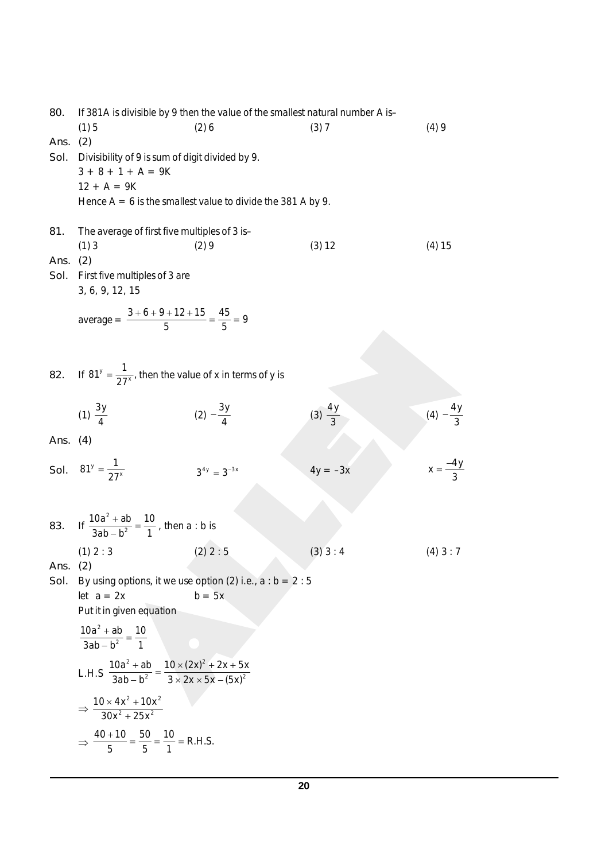*80.* If 381A is divisible by 9 then the value of the smallest natural number A is–  $(1) 5$   $(2) 6$   $(3) 7$   $(4) 9$ *Ans. (2) Sol.* Divisibility of 9 is sum of digit divided by 9.  $3 + 8 + 1 + A = 9K$  $12 + A = 9K$ Hence  $A = 6$  is the smallest value to divide the 381 A by 9. *81.* The average of first five multiples of 3 is– (1) 3 (2) 9 (3) 12 (4) 15 *Ans. (2) Sol.* First five multiples of 3 are 3, 6, 9, 12, 15 average  $=$   $\frac{3+6+9+12+15}{5} = \frac{45}{5} = 9$  $\frac{+6+9+12+15}{-}$ 82. If  $81^y = \frac{1}{27^x}$  $81^y = \frac{1}{27^x}$ , then the value of x in terms of y is (1)  $\frac{3y}{4}$ (2)  $-\frac{3y}{4}$  $-\frac{3y}{4}$  (3)  $\frac{4y}{3}$  $(4) -\frac{4y}{3}$ *Ans. (4) Sol.*  $81^y = \frac{1}{27^x}$  $81^y = \frac{1}{27}$  $3^{4y} = 3^{-3x}$  $4y = -3x$  $x = \frac{-4y}{3}$  $=$  $\frac{-}{-}$ 83. If  $\frac{10a^2}{a+b}$ 2  $10a^2 + ab$  10  $3ab - b^2$  1  $\frac{+ ab}{-b^2} = \frac{10}{1}$ , then a : b is (1) 2 : 3 (2) 2 : 5 (3) 3 : 4 (4) 3 : 7 *Ans. (2) Sol.* By using options, it we use option (2) i.e.,  $a : b = 2 : 5$ let  $a = 2x$  b = 5x Put it in given equation 2 2  $10a^2 + ab$  10  $3ab - b^2$  1  $\frac{a+b}{a-b^2} =$ L.H.S  $^{2}$   $ab = 10 \times (2x)^{2}$ 2  $2 \times 2v \times 5v (5v)^2$  $10a^2 + ab$   $10 \times (2x)^2 + 2x + 5x$  $3ab - b^2$   $3 \times 2x \times 5x - (5x)$  $\frac{1}{2} + ab = \frac{10 \times (2x)^2 + 2x + b}{3 \times 2x \times 5x - (5)}$  $\Rightarrow \frac{10 \times 4x^2 + 10x^2}{22x^2 + 10x^2}$  $2 \times 2$  $10 \times 4x^2 + 10x$  $30x^2 + 25x$  $\times$  4x<sup>2</sup> +  $^{+}$  $\Rightarrow \frac{40+10}{5} = \frac{50}{5} = \frac{10}{1} = R.H.S.$  $\frac{+10}{-}$  =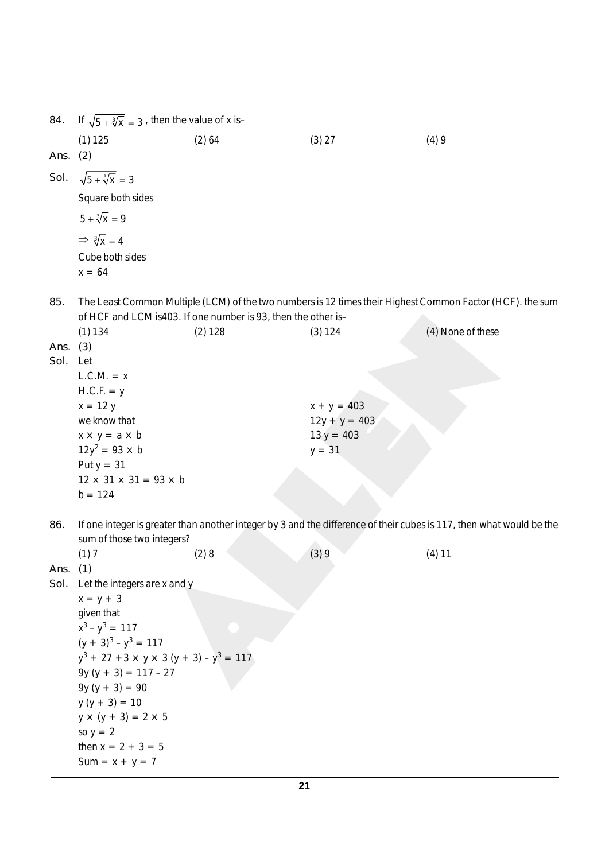| 84.          | If $\sqrt{5 + \sqrt[3]{x}} = 3$ , then the value of x is- |                                                               |                 |                                                                                                                      |
|--------------|-----------------------------------------------------------|---------------------------------------------------------------|-----------------|----------------------------------------------------------------------------------------------------------------------|
|              | (1) 125                                                   | (2) 64                                                        | (3) 27          | (4)9                                                                                                                 |
| Ans. (2)     |                                                           |                                                               |                 |                                                                                                                      |
| Sol.         | $\sqrt{5 + \sqrt[3]{x}} = 3$                              |                                                               |                 |                                                                                                                      |
|              | Square both sides                                         |                                                               |                 |                                                                                                                      |
|              | $5 + \sqrt[3]{x} = 9$                                     |                                                               |                 |                                                                                                                      |
|              | $\Rightarrow \sqrt[3]{x} = 4$                             |                                                               |                 |                                                                                                                      |
|              | Cube both sides                                           |                                                               |                 |                                                                                                                      |
|              | $x = 64$                                                  |                                                               |                 |                                                                                                                      |
| 85.          |                                                           |                                                               |                 | The Least Common Multiple (LCM) of the two numbers is 12 times their Highest Common Factor (HCF). the sum            |
|              |                                                           | of HCF and LCM is403. If one number is 93, then the other is- |                 |                                                                                                                      |
|              | (1) 134                                                   | (2) 128                                                       | (3) 124         | (4) None of these                                                                                                    |
| Ans.<br>Sol. | (3)<br>Let                                                |                                                               |                 |                                                                                                                      |
|              | $L.C.M. = x$                                              |                                                               |                 |                                                                                                                      |
|              | $H.C.F. = y$                                              |                                                               |                 |                                                                                                                      |
|              | $x = 12 y$                                                |                                                               | $x + y = 403$   |                                                                                                                      |
|              | we know that                                              |                                                               | $12y + y = 403$ |                                                                                                                      |
|              | $x \times y = a \times b$                                 |                                                               | $13 y = 403$    |                                                                                                                      |
|              | $12y^2 = 93 \times b$                                     |                                                               | $y = 31$        |                                                                                                                      |
|              | Put $y = 31$                                              |                                                               |                 |                                                                                                                      |
|              | $12 \times 31 \times 31 = 93 \times b$                    |                                                               |                 |                                                                                                                      |
|              | $b = 124$                                                 |                                                               |                 |                                                                                                                      |
| 86.          |                                                           |                                                               |                 | If one integer is greater than another integer by 3 and the difference of their cubes is 117, then what would be the |
|              | sum of those two integers?                                |                                                               |                 |                                                                                                                      |
|              | (1) 7                                                     | (2)8                                                          | (3)9            | $(4)$ 11                                                                                                             |
| Ans.         | (1)                                                       |                                                               |                 |                                                                                                                      |
|              | Sol. Let the integers are x and y<br>$x = y + 3$          |                                                               |                 |                                                                                                                      |
|              | given that                                                |                                                               |                 |                                                                                                                      |
|              | $x^3 - y^3 = 117$                                         |                                                               |                 |                                                                                                                      |
|              | $(y + 3)^3 - y^3 = 117$                                   |                                                               |                 |                                                                                                                      |
|              | $y^3$ + 27 + 3 × y × 3 (y + 3) – y <sup>3</sup> = 117     |                                                               |                 |                                                                                                                      |
|              | $9y (y + 3) = 117 - 27$                                   |                                                               |                 |                                                                                                                      |
|              | $9y (y + 3) = 90$                                         |                                                               |                 |                                                                                                                      |
|              | $y (y + 3) = 10$                                          |                                                               |                 |                                                                                                                      |
|              | $y \times (y + 3) = 2 \times 5$                           |                                                               |                 |                                                                                                                      |
|              | so $y = 2$                                                |                                                               |                 |                                                                                                                      |
|              | then $x = 2 + 3 = 5$                                      |                                                               |                 |                                                                                                                      |
|              | $Sum = x + y = 7$                                         |                                                               |                 |                                                                                                                      |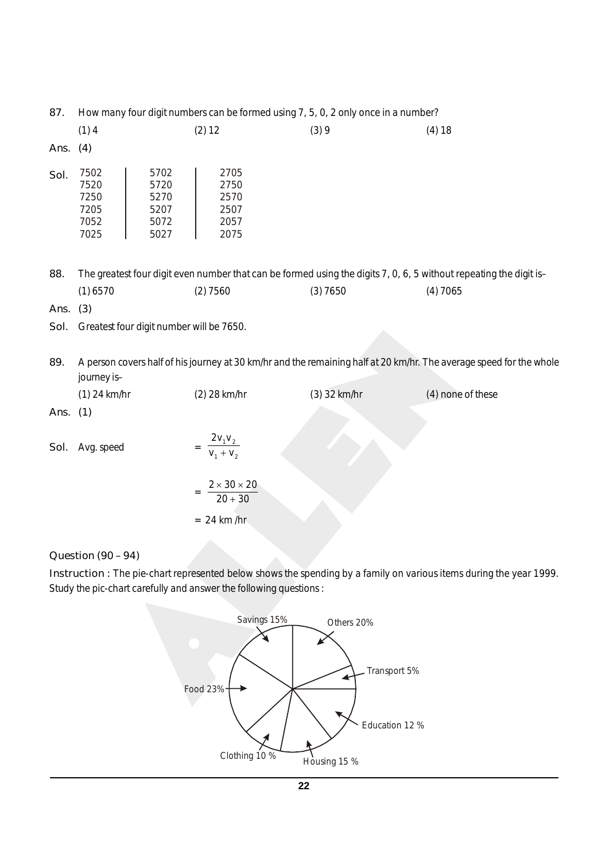|  | 87. How many four digit numbers can be formed using 7, 5, 0, 2 only once in a number? |  |
|--|---------------------------------------------------------------------------------------|--|
|  |                                                                                       |  |

|            | (1)4                                         |                                              | (2) 12                                       | (3)9 | (4) 18 |
|------------|----------------------------------------------|----------------------------------------------|----------------------------------------------|------|--------|
| Ans. $(4)$ |                                              |                                              |                                              |      |        |
| Sol.       | 7502<br>7520<br>7250<br>7205<br>7052<br>7025 | 5702<br>5720<br>5270<br>5207<br>5072<br>5027 | 2705<br>2750<br>2570<br>2507<br>2057<br>2075 |      |        |

*88.* The greatest four digit even number that can be formed using the digits 7, 0, 6, 5 without repeating the digit is– (1) 6570 (2) 7560 (3) 7650 (4) 7065

*Ans. (3)*

- *Sol.* Greatest four digit number will be 7650.
- *89.* A person covers half of his journey at 30 km/hr and the remaining half at 20 km/hr. The average speed for the whole journey is–

|            | $(1)$ 24 km/hr | (2) 28 km/hr                                          | (3) 32 km/hr | (4) none of these |
|------------|----------------|-------------------------------------------------------|--------------|-------------------|
| Ans. $(1)$ |                |                                                       |              |                   |
| Sol.       | Avg. speed     | $2v_1v_2$<br>$V_1 + V_2$                              |              |                   |
|            |                | $2 \times 30 \times 20$<br>$20 + 30$<br>$= 24$ km /hr |              |                   |

## *Question (90 – 94)*

*Instruction :* The pie-chart represented below shows the spending by a family on various items during the year 1999. Study the pic-chart carefully and answer the following questions :



**22**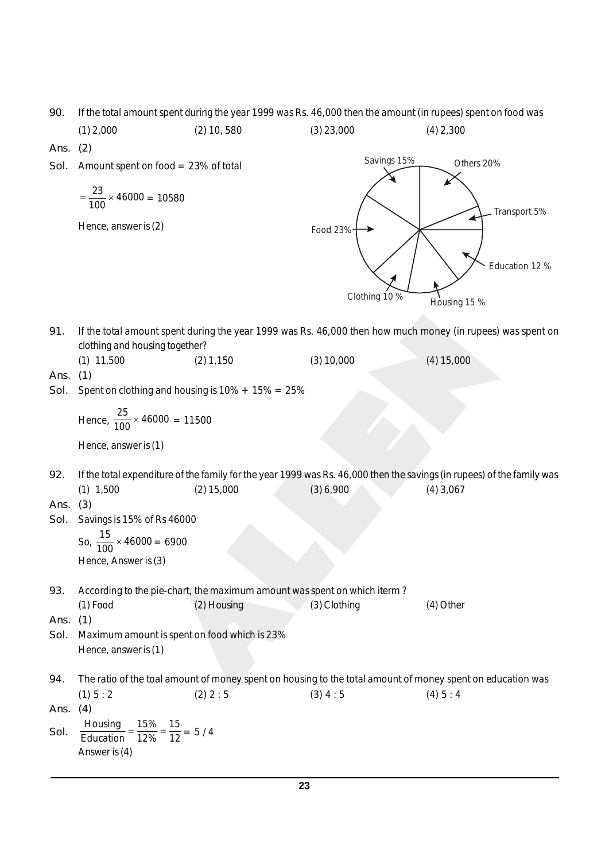*90.* If the total amount spent during the year 1999 was Rs. 46,000 then the amount (in rupees) spent on food was

(1) 2,000 (2) 10, 580 (3) 23,000 (4) 2,300 *Ans. (2) Sol.* Amount spent on food = 23% of total Food 23% Savings 15% Others 20% Transport 5% Education 12 % Clothing 10 % Housing 15 %  $=\frac{23}{100} \times 46000 = 10580$ Hence, answer is (2) *91.* If the total amount spent during the year 1999 was Rs. 46,000 then how much money (in rupees) was spent on clothing and housing together? (1)  $11,500$  (2)  $1,150$  (3)  $10,000$  (4)  $15,000$ *Ans. (1) Sol.* Spent on clothing and housing is 10% + 15% = 25% Hence,  $\frac{25}{100} \times 46000 = 11500$ Hence, answer is (1) *92.* If the total expenditure of the family for the year 1999 was Rs. 46,000 then the savings (in rupees) of the family was (1) 1,500 (2) 15,000 (3) 6,900 (4) 3,067 *Ans. (3) Sol.* Savings is 15% of Rs 46000 So,  $\frac{15}{100} \times 46000 = 6900$ Hence, Answer is (3) *93.* According to the pie-chart, the maximum amount was spent on which iterm ? (1) Food (2) Housing (3) Clothing (4) Other *Ans. (1) Sol.* Maximum amount is spent on food which is 23% Hence, answer is (1) *94.* The ratio of the toal amount of money spent on housing to the total amount of money spent on education was (1)  $5:2$  (2)  $2:5$  (3)  $4:5$  (4)  $5:4$ *Ans. (4) Sol.* Housing 15% 15 <u>Education</u> =  $\frac{1376}{12\%}$  =  $\frac{13}{12}$  = 5/4

Answer is (4)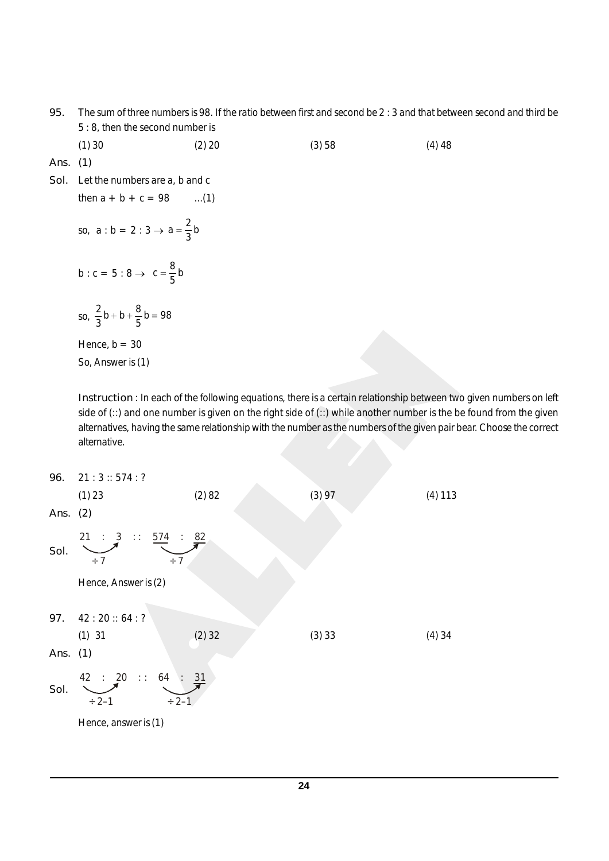- *95.* The sum of three numbers is 98. If the ratio between first and second be 2 : 3 and that between second and third be 5 : 8, then the second number is
	- (1) 30 (2) 20 (3) 58 (4) 48
- *Ans. (1)*
- *Sol.* Let the numbers are a, b and c
	- so,  $a : b = 2 : 3 \rightarrow a = \frac{2}{3}b$

then  $a + b + c = 98$  ...(1)

b : c = 5 : 8  $\rightarrow$  c =  $\frac{8}{5}$ b

so, 
$$
\frac{2}{3}b + b + \frac{8}{5}b = 98
$$

Hence,  $b = 30$ So, Answer is (1)

*Instruction :* In each of the following equations, there is a certain relationship between two given numbers on left side of (::) and one number is given on the right side of (::) while another number is the be found from the given alternatives, having the same relationship with the number as the numbers of the given pair bear. Choose the correct alternative.